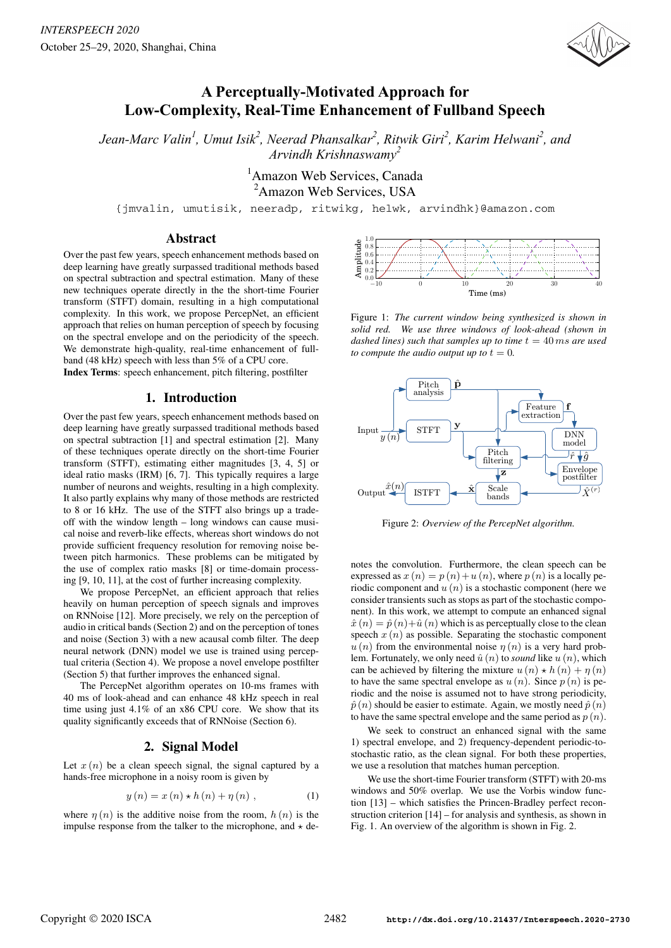

# **A Perceptually-Motivated Approach for Low-Complexity, Real-Time Enhancement of Fullband Speech**

*Jean-Marc Valin1 , Umut Isik<sup>2</sup> , Neerad Phansalkar2 , Ritwik Giri2 , Karim Helwani<sup>2</sup> , and Arvindh Krishnaswamy<sup>2</sup>*

> 1 Amazon Web Services, Canada <sup>2</sup>Amazon Web Services, USA

{jmvalin, umutisik, neeradp, ritwikg, helwk, arvindhk}@amazon.com

## Abstract

Over the past few years, speech enhancement methods based on deep learning have greatly surpassed traditional methods based on spectral subtraction and spectral estimation. Many of these new techniques operate directly in the the short-time Fourier transform (STFT) domain, resulting in a high computational complexity. In this work, we propose PercepNet, an efficient approach that relies on human perception of speech by focusing on the spectral envelope and on the periodicity of the speech. We demonstrate high-quality, real-time enhancement of fullband (48 kHz) speech with less than 5% of a CPU core.

Index Terms: speech enhancement, pitch filtering, postfilter

# 1. Introduction

Over the past few years, speech enhancement methods based on deep learning have greatly surpassed traditional methods based on spectral subtraction [1] and spectral estimation [2]. Many of these techniques operate directly on the short-time Fourier transform (STFT), estimating either magnitudes [3, 4, 5] or ideal ratio masks (IRM) [6, 7]. This typically requires a large number of neurons and weights, resulting in a high complexity. It also partly explains why many of those methods are restricted to 8 or 16 kHz. The use of the STFT also brings up a tradeoff with the window length – long windows can cause musical noise and reverb-like effects, whereas short windows do not provide sufficient frequency resolution for removing noise between pitch harmonics. These problems can be mitigated by the use of complex ratio masks [8] or time-domain processing [9, 10, 11], at the cost of further increasing complexity.

We propose PercepNet, an efficient approach that relies heavily on human perception of speech signals and improves on RNNoise [12]. More precisely, we rely on the perception of audio in critical bands (Section 2) and on the perception of tones and noise (Section 3) with a new acausal comb filter. The deep neural network (DNN) model we use is trained using perceptual criteria (Section 4). We propose a novel envelope postfilter (Section 5) that further improves the enhanced signal.

The PercepNet algorithm operates on 10-ms frames with 40 ms of look-ahead and can enhance 48 kHz speech in real time using just 4.1% of an x86 CPU core. We show that its quality significantly exceeds that of RNNoise (Section 6).

# 2. Signal Model

Let  $x(n)$  be a clean speech signal, the signal captured by a hands-free microphone in a noisy room is given by

$$
y(n) = x(n) \star h(n) + \eta(n)
$$
, (1)

where  $\eta(n)$  is the additive noise from the room,  $h(n)$  is the impulse response from the talker to the microphone, and  $\star$  de-



Figure 1: *The current window being synthesized is shown in solid red. We use three windows of look-ahead (shown in dashed lines) such that samples up to time*  $t = 40$  *ms are used to compute the audio output up to*  $t = 0$ *.* 



Figure 2: *Overview of the PercepNet algorithm.*

notes the convolution. Furthermore, the clean speech can be expressed as  $x(n) = p(n) + u(n)$ , where  $p(n)$  is a locally periodic component and  $u(n)$  is a stochastic component (here we consider transients such as stops as part of the stochastic component). In this work, we attempt to compute an enhanced signal  $\hat{x}(n)=\hat{p}(n)+\hat{u}(n)$  which is as perceptually close to the clean speech  $x(n)$  as possible. Separating the stochastic component  $u(n)$  from the environmental noise  $\eta(n)$  is a very hard problem. Fortunately, we only need  $\hat{u}(n)$  to *sound* like  $u(n)$ , which can be achieved by filtering the mixture  $u(n) \star h(n) + \eta(n)$ <br>to have the same spectral envelope as  $u(n)$ . Since  $n(n)$  is neto have the same spectral envelope as  $u(n)$ . Since  $p(n)$  is periodic and the noise is assumed not to have strong periodicity,  $\hat{p}(n)$  should be easier to estimate. Again, we mostly need  $\hat{p}(n)$ to have the same spectral envelope and the same period as  $p(n)$ .

We seek to construct an enhanced signal with the same 1) spectral envelope, and 2) frequency-dependent periodic-tostochastic ratio, as the clean signal. For both these properties, we use a resolution that matches human perception.

We use the short-time Fourier transform (STFT) with 20-ms windows and 50% overlap. We use the Vorbis window function [13] – which satisfies the Princen-Bradley perfect reconstruction criterion [14] – for analysis and synthesis, as shown in Fig. 1. An overview of the algorithm is shown in Fig. 2.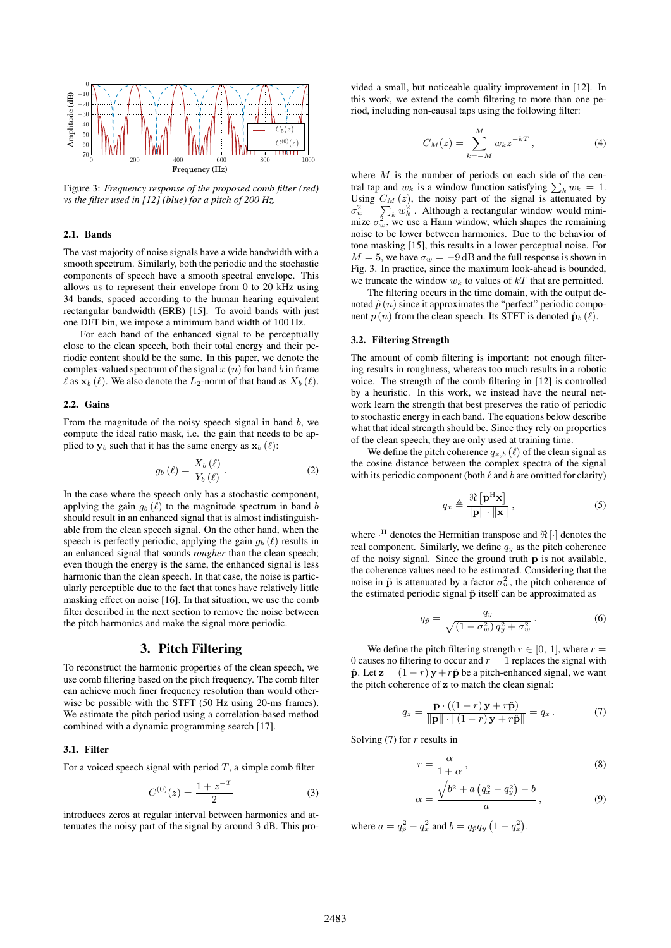

Figure 3: *Frequency response of the proposed comb filter (red) vs the filter used in [12] (blue) for a pitch of 200 Hz.*

### 2.1. Bands

The vast majority of noise signals have a wide bandwidth with a smooth spectrum. Similarly, both the periodic and the stochastic components of speech have a smooth spectral envelope. This allows us to represent their envelope from 0 to 20 kHz using 34 bands, spaced according to the human hearing equivalent rectangular bandwidth (ERB) [15]. To avoid bands with just one DFT bin, we impose a minimum band width of 100 Hz.

For each band of the enhanced signal to be perceptually close to the clean speech, both their total energy and their periodic content should be the same. In this paper, we denote the complex-valued spectrum of the signal  $x(n)$  for band b in frame  $\ell$  as  $\mathbf{x}_b(\ell)$ . We also denote the  $L_2$ -norm of that band as  $X_b(\ell)$ .

#### 2.2. Gains

From the magnitude of the noisy speech signal in band  $b$ , we compute the ideal ratio mask, i.e. the gain that needs to be applied to  $\mathbf{y}_b$  such that it has the same energy as  $\mathbf{x}_b$  ( $\ell$ ):

$$
g_b(\ell) = \frac{X_b(\ell)}{Y_b(\ell)}.
$$
 (2)

In the case where the speech only has a stochastic component, applying the gain  $g_b(\ell)$  to the magnitude spectrum in band b should result in an enhanced signal that is almost indistinguishable from the clean speech signal. On the other hand, when the speech is perfectly periodic, applying the gain  $g_b(\ell)$  results in an enhanced signal that sounds *rougher* than the clean speech; even though the energy is the same, the enhanced signal is less harmonic than the clean speech. In that case, the noise is particularly perceptible due to the fact that tones have relatively little masking effect on noise [16]. In that situation, we use the comb filter described in the next section to remove the noise between the pitch harmonics and make the signal more periodic.

### 3. Pitch Filtering

To reconstruct the harmonic properties of the clean speech, we use comb filtering based on the pitch frequency. The comb filter can achieve much finer frequency resolution than would otherwise be possible with the STFT (50 Hz using 20-ms frames). We estimate the pitch period using a correlation-based method combined with a dynamic programming search [17].

#### 3.1. Filter

For a voiced speech signal with period  $T$ , a simple comb filter

$$
C^{(0)}(z) = \frac{1 + z^{-T}}{2} \tag{3}
$$

introduces zeros at regular interval between harmonics and attenuates the noisy part of the signal by around 3 dB. This provided a small, but noticeable quality improvement in [12]. In this work, we extend the comb filtering to more than one period, including non-causal taps using the following filter:

$$
C_M(z) = \sum_{k=-M}^{M} w_k z^{-kT},
$$
 (4)

where  $M$  is the number of periods on each side of the central tap and  $w_k$  is a window function satisfying  $\sum_k w_k = 1$ .<br>Using  $C_M(z)$  the noisy part of the signal is attenuated by Using  $C_M(z)$ , the noisy part of the signal is attenuated by  $\sigma^2 = \sum w_i^2$ . Although a rectangular window would mini- $\sigma_w^2 = \sum_k w_k^2$ . Although a rectangular window would mini-<br>mize  $\sigma^2$  we use a Hann window which shapes the remaining mize  $\sigma_w^2$ , we use a Hann window, which shapes the remaining<br>noise to be lower between barmonics. Due to the behavior of noise to be lower between harmonics. Due to the behavior of tone masking [15], this results in a lower perceptual noise. For  $M = 5$ , we have  $\sigma_w = -9$  dB and the full response is shown in Fig. 3. In practice, since the maximum look-ahead is bounded, we truncate the window  $w_k$  to values of  $kT$  that are permitted.

The filtering occurs in the time domain, with the output denoted  $\hat{p}(n)$  since it approximates the "perfect" periodic component  $p(n)$  from the clean speech. Its STFT is denoted  $\hat{\mathbf{p}}_b(\ell)$ .

#### 3.2. Filtering Strength

The amount of comb filtering is important: not enough filtering results in roughness, whereas too much results in a robotic voice. The strength of the comb filtering in [12] is controlled by a heuristic. In this work, we instead have the neural network learn the strength that best preserves the ratio of periodic to stochastic energy in each band. The equations below describe what that ideal strength should be. Since they rely on properties of the clean speech, they are only used at training time.

We define the pitch coherence  $q_{x,b}$  ( $\ell$ ) of the clean signal as the cosine distance between the complex spectra of the signal with its periodic component (both  $\ell$  and  $b$  are omitted for clarity)

$$
q_x \triangleq \frac{\Re\left[\mathbf{p}^{\mathrm{H}}\mathbf{x}\right]}{\|\mathbf{p}\| \cdot \|\mathbf{x}\|},\tag{5}
$$

where  $\cdot$ <sup>H</sup> denotes the Hermitian transpose and  $\Re$  [·] denotes the real component. Similarly, we define  $q_y$  as the pitch coherence of the noisy signal. Since the ground truth **p** is not available, the coherence values need to be estimated. Considering that the noise in  $\hat{\mathbf{p}}$  is attenuated by a factor  $\sigma_w^2$ , the pitch coherence of the estimated periodic signal  $\hat{\mathbf{p}}$  itself can be approximated as the estimated periodic signal  $\hat{p}$  itself can be approximated as

$$
q_{\hat{p}} = \frac{q_y}{\sqrt{\left(1 - \sigma_w^2\right)q_y^2 + \sigma_w^2}}\,. \tag{6}
$$

We define the pitch filtering strength  $r \in [0, 1]$ , where  $r =$ 0 causes no filtering to occur and  $r = 1$  replaces the signal with  $\hat{\bf p}$ . Let  ${\bf z} = (1 - r) {\bf y} + r \hat{\bf p}$  be a pitch-enhanced signal, we want the pitch coherence of **z** to match the clean signal:

$$
q_z = \frac{\mathbf{p} \cdot ((1-r)\mathbf{y} + r\hat{\mathbf{p}})}{\|\mathbf{p}\| \cdot \| (1-r)\mathbf{y} + r\hat{\mathbf{p}}\|} = q_x.
$$
 (7)

Solving  $(7)$  for r results in

$$
r = \frac{\alpha}{1 + \alpha},\tag{8}
$$

$$
\alpha = \frac{\sqrt{b^2 + a\left(q_x^2 - q_y^2\right)} - b}{a},\tag{9}
$$

where  $a = q_{\hat{p}}^2 - q_x^2$  and  $b = q_{\hat{p}}q_y (1 - q_x^2)$ .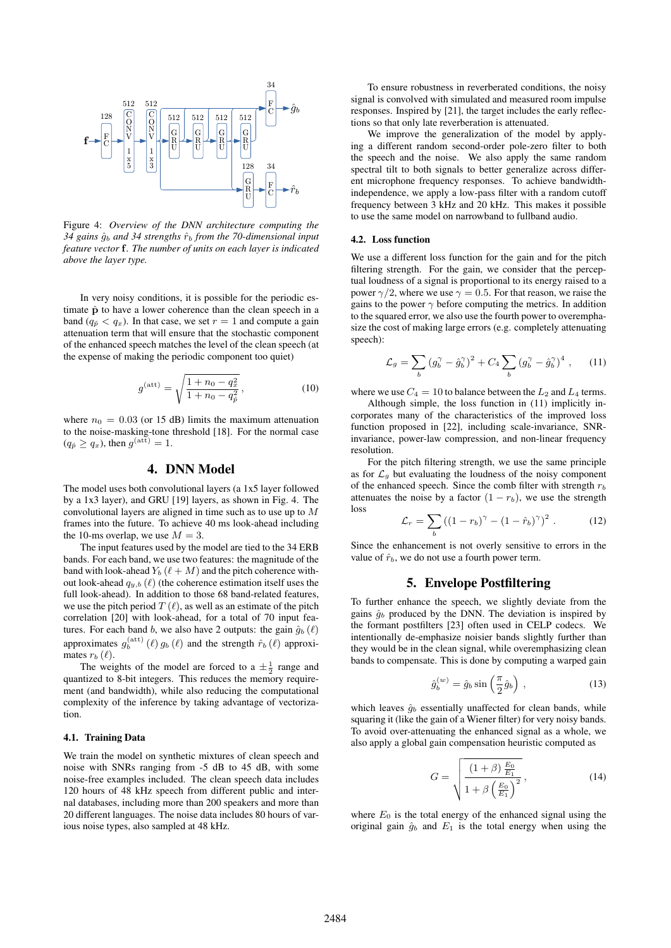

Figure 4: *Overview of the DNN architecture computing the 34 gains* <sup>g</sup>ˆb *and 34 strengths* <sup>r</sup>ˆb *from the 70-dimensional input feature vector* **f***. The number of units on each layer is indicated above the layer type.*

In very noisy conditions, it is possible for the periodic estimate  $\hat{p}$  to have a lower coherence than the clean speech in a band  $(q_{\hat{p}} < q_x)$ . In that case, we set  $r = 1$  and compute a gain attenuation term that will ensure that the stochastic component of the enhanced speech matches the level of the clean speech (at the expense of making the periodic component too quiet)

$$
g^{(\text{att})} = \sqrt{\frac{1 + n_0 - q_x^2}{1 + n_0 - q_p^2}},
$$
\n(10)

where  $n_0 = 0.03$  (or 15 dB) limits the maximum attenuation to the noise-masking-tone threshold [18]. For the normal case  $(q_{\hat{p}} \geq q_x)$ , then  $g^{\text{(att)}} = 1$ .

# 4. DNN Model

The model uses both convolutional layers (a 1x5 layer followed by a 1x3 layer), and GRU [19] layers, as shown in Fig. 4. The convolutional layers are aligned in time such as to use up to M frames into the future. To achieve 40 ms look-ahead including the 10-ms overlap, we use  $M = 3$ .

The input features used by the model are tied to the 34 ERB bands. For each band, we use two features: the magnitude of the band with look-ahead  $Y_b$  ( $\ell + M$ ) and the pitch coherence without look-ahead  $q_{y,b}$  ( $\ell$ ) (the coherence estimation itself uses the full look-ahead). In addition to those 68 band-related features, we use the pitch period  $T(\ell)$ , as well as an estimate of the pitch correlation [20] with look-ahead, for a total of 70 input features. For each band b, we also have 2 outputs: the gain  $\hat{g}_b(\ell)$ approximates  $g_b^{(\text{att})}(\ell) g_b(\ell)$  and the strength  $\hat{r}_b(\ell)$  approximates  $r_b(\ell)$ mates  $r_b$  ( $\ell$ ).

The weights of the model are forced to a  $\pm \frac{1}{2}$  range and quantized to 8-bit integers. This reduces the memory requirement (and bandwidth), while also reducing the computational complexity of the inference by taking advantage of vectorization.

#### 4.1. Training Data

We train the model on synthetic mixtures of clean speech and noise with SNRs ranging from -5 dB to 45 dB, with some noise-free examples included. The clean speech data includes 120 hours of 48 kHz speech from different public and internal databases, including more than 200 speakers and more than 20 different languages. The noise data includes 80 hours of various noise types, also sampled at 48 kHz.

To ensure robustness in reverberated conditions, the noisy signal is convolved with simulated and measured room impulse responses. Inspired by [21], the target includes the early reflections so that only late reverberation is attenuated.

We improve the generalization of the model by applying a different random second-order pole-zero filter to both the speech and the noise. We also apply the same random spectral tilt to both signals to better generalize across different microphone frequency responses. To achieve bandwidthindependence, we apply a low-pass filter with a random cutoff frequency between 3 kHz and 20 kHz. This makes it possible to use the same model on narrowband to fullband audio.

### 4.2. Loss function

We use a different loss function for the gain and for the pitch filtering strength. For the gain, we consider that the perceptual loudness of a signal is proportional to its energy raised to a power  $\gamma/2$ , where we use  $\gamma = 0.5$ . For that reason, we raise the gains to the power  $\gamma$  before computing the metrics. In addition to the squared error, we also use the fourth power to overemphasize the cost of making large errors (e.g. completely attenuating speech):

$$
\mathcal{L}_g = \sum_b \left( g_b^{\gamma} - \hat{g}_b^{\gamma} \right)^2 + C_4 \sum_b \left( g_b^{\gamma} - \hat{g}_b^{\gamma} \right)^4 , \qquad (11)
$$

where we use  $C_4 = 10$  to balance between the  $L_2$  and  $L_4$  terms.

Although simple, the loss function in (11) implicitly incorporates many of the characteristics of the improved loss function proposed in [22], including scale-invariance, SNRinvariance, power-law compression, and non-linear frequency resolution.

For the pitch filtering strength, we use the same principle as for  $\mathcal{L}_g$  but evaluating the loudness of the noisy component of the enhanced speech. Since the comb filter with strength  $r_b$ attenuates the noise by a factor  $(1 - r_b)$ , we use the strength loss

$$
\mathcal{L}_r = \sum_b ((1 - r_b)^{\gamma} - (1 - \hat{r}_b)^{\gamma})^2 \ . \tag{12}
$$

Since the enhancement is not overly sensitive to errors in the value of  $\hat{r}_b$ , we do not use a fourth power term.

## 5. Envelope Postfiltering

To further enhance the speech, we slightly deviate from the gains  $\hat{g}_b$  produced by the DNN. The deviation is inspired by the formant postfilters [23] often used in CELP codecs. We intentionally de-emphasize noisier bands slightly further than they would be in the clean signal, while overemphasizing clean bands to compensate. This is done by computing a warped gain

$$
\hat{g}_b^{(w)} = \hat{g}_b \sin\left(\frac{\pi}{2}\hat{g}_b\right) ,\qquad (13)
$$

which leaves  $\hat{g}_b$  essentially unaffected for clean bands, while squaring it (like the gain of a Wiener filter) for very noisy bands. To avoid over-attenuating the enhanced signal as a whole, we also apply a global gain compensation heuristic computed as

$$
G = \sqrt{\frac{(1+\beta)\frac{E_0}{E_1}}{1+\beta\left(\frac{E_0}{E_1}\right)^2}},
$$
\n(14)

where  $E_0$  is the total energy of the enhanced signal using the original gain  $\hat{g}_b$  and  $E_1$  is the total energy when using the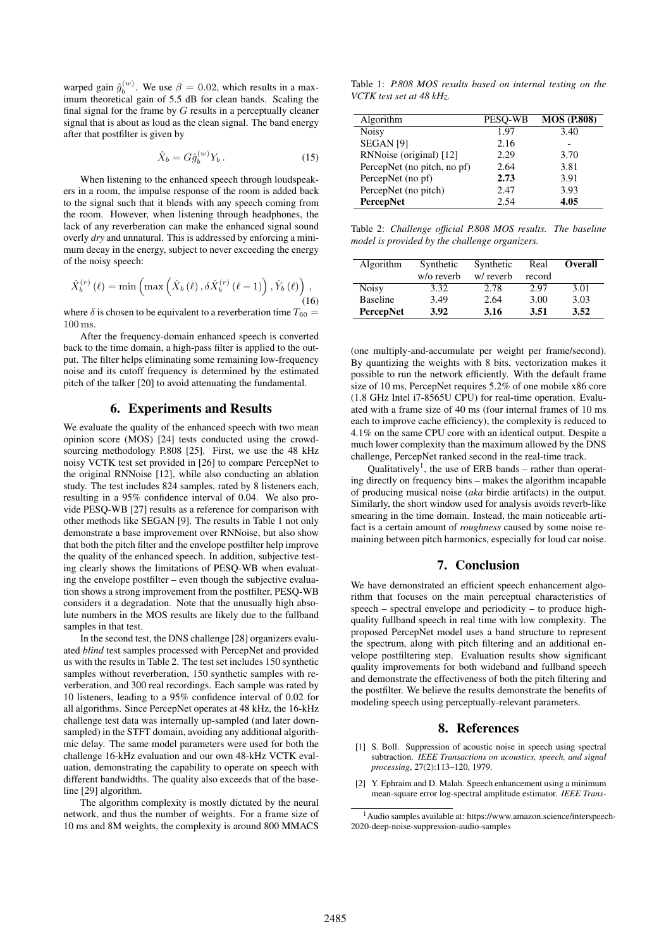warped gain  $\hat{g}_b^{(w)}$ . We use  $\beta = 0.02$ , which results in a max-<br>imum theoretical gain of 5.5 dB for clean bands. Scaling the imum theoretical gain of 5.5 dB for clean bands. Scaling the final signal for the frame by  $G$  results in a perceptually cleaner signal that is about as loud as the clean signal. The band energy after that postfilter is given by

$$
\hat{X}_b = G \hat{g}_b^{(w)} Y_b \,. \tag{15}
$$

When listening to the enhanced speech through loudspeakers in a room, the impulse response of the room is added back to the signal such that it blends with any speech coming from the room. However, when listening through headphones, the lack of any reverberation can make the enhanced signal sound overly *dry* and unnatural. This is addressed by enforcing a minimum decay in the energy, subject to never exceeding the energy of the noisy speech:

$$
\hat{X}_{b}^{(r)}\left(\ell\right) = \min\left(\max\left(\hat{X}_{b}\left(\ell\right), \delta \hat{X}_{b}^{(r)}\left(\ell-1\right)\right), \hat{Y}_{b}\left(\ell\right)\right),\tag{16}
$$

where  $\delta$  is chosen to be equivalent to a reverberation time  $T_{60} =$ 100 ms.

After the frequency-domain enhanced speech is converted back to the time domain, a high-pass filter is applied to the output. The filter helps eliminating some remaining low-frequency noise and its cutoff frequency is determined by the estimated pitch of the talker [20] to avoid attenuating the fundamental.

### 6. Experiments and Results

We evaluate the quality of the enhanced speech with two mean opinion score (MOS) [24] tests conducted using the crowdsourcing methodology P.808 [25]. First, we use the 48 kHz noisy VCTK test set provided in [26] to compare PercepNet to the original RNNoise [12], while also conducting an ablation study. The test includes 824 samples, rated by 8 listeners each, resulting in a 95% confidence interval of 0.04. We also provide PESQ-WB [27] results as a reference for comparison with other methods like SEGAN [9]. The results in Table 1 not only demonstrate a base improvement over RNNoise, but also show that both the pitch filter and the envelope postfilter help improve the quality of the enhanced speech. In addition, subjective testing clearly shows the limitations of PESQ-WB when evaluating the envelope postfilter – even though the subjective evaluation shows a strong improvement from the postfilter, PESQ-WB considers it a degradation. Note that the unusually high absolute numbers in the MOS results are likely due to the fullband samples in that test.

In the second test, the DNS challenge [28] organizers evaluated *blind* test samples processed with PercepNet and provided us with the results in Table 2. The test set includes 150 synthetic samples without reverberation, 150 synthetic samples with reverberation, and 300 real recordings. Each sample was rated by 10 listeners, leading to a 95% confidence interval of 0.02 for all algorithms. Since PercepNet operates at 48 kHz, the 16-kHz challenge test data was internally up-sampled (and later downsampled) in the STFT domain, avoiding any additional algorithmic delay. The same model parameters were used for both the challenge 16-kHz evaluation and our own 48-kHz VCTK evaluation, demonstrating the capability to operate on speech with different bandwidths. The quality also exceeds that of the baseline [29] algorithm.

The algorithm complexity is mostly dictated by the neural network, and thus the number of weights. For a frame size of 10 ms and 8M weights, the complexity is around 800 MMACS

Table 1: *P.808 MOS results based on internal testing on the VCTK test set at 48 kHz.*

| Algorithm                   | <b>PESO-WB</b> | <b>MOS (P.808)</b> |
|-----------------------------|----------------|--------------------|
| <b>Noisy</b>                | 1.97           | 3.40               |
| <b>SEGAN</b> [9]            | 2.16           |                    |
| RNNoise (original) [12]     | 2.29           | 3.70               |
| PercepNet (no pitch, no pf) | 2.64           | 3.81               |
| PercepNet (no pf)           | 2.73           | 3.91               |
| PercepNet (no pitch)        | 2.47           | 3.93               |
| <b>PercepNet</b>            | 2.54           | 4.05               |

Table 2: *Challenge official P.808 MOS results. The baseline model is provided by the challenge organizers.*

| Algorithm        | Synthetic  | Synthetic | Real   | <b>Overall</b> |
|------------------|------------|-----------|--------|----------------|
|                  | w/o reverb | w/reverb  | record |                |
| Noisy            | 3.32       | 2.78      | 2.97   | 3.01           |
| <b>Baseline</b>  | 3.49       | 2.64      | 3.00   | 3.03           |
| <b>PercepNet</b> | 3.92       | 3.16      | 3.51   | 3.52           |

(one multiply-and-accumulate per weight per frame/second). By quantizing the weights with 8 bits, vectorization makes it possible to run the network efficiently. With the default frame size of 10 ms, PercepNet requires 5.2% of one mobile x86 core (1.8 GHz Intel i7-8565U CPU) for real-time operation. Evaluated with a frame size of 40 ms (four internal frames of 10 ms each to improve cache efficiency), the complexity is reduced to 4.1% on the same CPU core with an identical output. Despite a much lower complexity than the maximum allowed by the DNS challenge, PercepNet ranked second in the real-time track.

Qualitatively<sup>1</sup>, the use of ERB bands – rather than operating directly on frequency bins – makes the algorithm incapable of producing musical noise (*aka* birdie artifacts) in the output. Similarly, the short window used for analysis avoids reverb-like smearing in the time domain. Instead, the main noticeable artifact is a certain amount of *roughness* caused by some noise remaining between pitch harmonics, especially for loud car noise.

# 7. Conclusion

We have demonstrated an efficient speech enhancement algorithm that focuses on the main perceptual characteristics of speech – spectral envelope and periodicity – to produce highquality fullband speech in real time with low complexity. The proposed PercepNet model uses a band structure to represent the spectrum, along with pitch filtering and an additional envelope postfiltering step. Evaluation results show significant quality improvements for both wideband and fullband speech and demonstrate the effectiveness of both the pitch filtering and the postfilter. We believe the results demonstrate the benefits of modeling speech using perceptually-relevant parameters.

# 8. References

- [1] S. Boll. Suppression of acoustic noise in speech using spectral subtraction. *IEEE Transactions on acoustics, speech, and signal processing*, 27(2):113–120, 1979.
- [2] Y. Ephraim and D. Malah. Speech enhancement using a minimum mean-square error log-spectral amplitude estimator. *IEEE Trans-*

<sup>1</sup>Audio samples available at: https://www.amazon.science/interspeech-2020-deep-noise-suppression-audio-samples